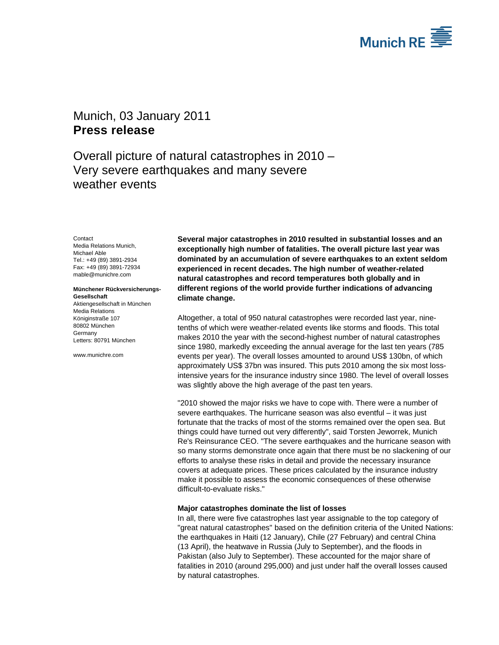

# Munich, 03 January 2011 **Press release**

Overall picture of natural catastrophes in 2010 – Very severe earthquakes and many severe weather events

**Contact** 

Media Relations Munich, Michael Able Tel.: +49 (89) 3891-2934 Fax: +49 (89) 3891-72934 mable@munichre.com

#### **Münchener Rückversicherungs-Gesellschaft**

Aktiengesellschaft in München Media Relations Königinstraße 107 80802 München Germany Letters: 80791 München

www.munichre.com

**Several major catastrophes in 2010 resulted in substantial losses and an exceptionally high number of fatalities. The overall picture last year was dominated by an accumulation of severe earthquakes to an extent seldom experienced in recent decades. The high number of weather-related natural catastrophes and record temperatures both globally and in different regions of the world provide further indications of advancing climate change.** 

Altogether, a total of 950 natural catastrophes were recorded last year, ninetenths of which were weather-related events like storms and floods. This total makes 2010 the year with the second-highest number of natural catastrophes since 1980, markedly exceeding the annual average for the last ten years (785 events per year). The overall losses amounted to around US\$ 130bn, of which approximately US\$ 37bn was insured. This puts 2010 among the six most lossintensive years for the insurance industry since 1980. The level of overall losses was slightly above the high average of the past ten years.

"2010 showed the major risks we have to cope with. There were a number of severe earthquakes. The hurricane season was also eventful – it was just fortunate that the tracks of most of the storms remained over the open sea. But things could have turned out very differently", said Torsten Jeworrek, Munich Re's Reinsurance CEO. "The severe earthquakes and the hurricane season with so many storms demonstrate once again that there must be no slackening of our efforts to analyse these risks in detail and provide the necessary insurance covers at adequate prices. These prices calculated by the insurance industry make it possible to assess the economic consequences of these otherwise difficult-to-evaluate risks."

# **Major catastrophes dominate the list of losses**

In all, there were five catastrophes last year assignable to the top category of "great natural catastrophes" based on the definition criteria of the United Nations: the earthquakes in Haiti (12 January), Chile (27 February) and central China (13 April), the heatwave in Russia (July to September), and the floods in Pakistan (also July to September). These accounted for the major share of fatalities in 2010 (around 295,000) and just under half the overall losses caused by natural catastrophes.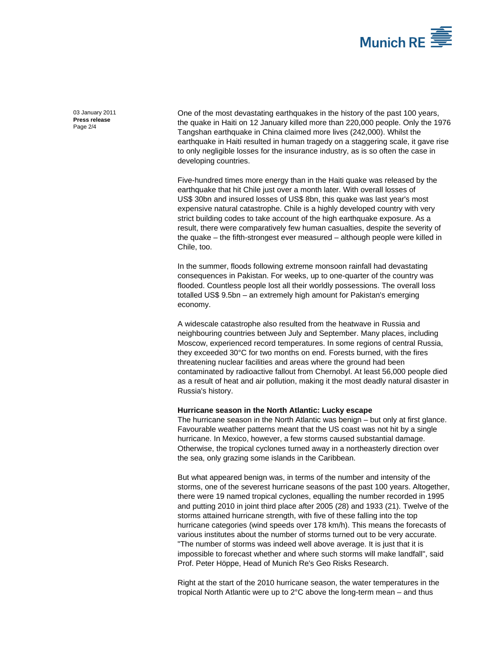

03 January 2011 **Press release**  Page  $2/4$ 

One of the most devastating earthquakes in the history of the past 100 years, the quake in Haiti on 12 January killed more than 220,000 people. Only the 1976 Tangshan earthquake in China claimed more lives (242,000). Whilst the earthquake in Haiti resulted in human tragedy on a staggering scale, it gave rise to only negligible losses for the insurance industry, as is so often the case in developing countries.

Five-hundred times more energy than in the Haiti quake was released by the earthquake that hit Chile just over a month later. With overall losses of US\$ 30bn and insured losses of US\$ 8bn, this quake was last year's most expensive natural catastrophe. Chile is a highly developed country with very strict building codes to take account of the high earthquake exposure. As a result, there were comparatively few human casualties, despite the severity of the quake – the fifth-strongest ever measured – although people were killed in Chile, too.

In the summer, floods following extreme monsoon rainfall had devastating consequences in Pakistan. For weeks, up to one-quarter of the country was flooded. Countless people lost all their worldly possessions. The overall loss totalled US\$ 9.5bn – an extremely high amount for Pakistan's emerging economy.

A widescale catastrophe also resulted from the heatwave in Russia and neighbouring countries between July and September. Many places, including Moscow, experienced record temperatures. In some regions of central Russia, they exceeded 30°C for two months on end. Forests burned, with the fires threatening nuclear facilities and areas where the ground had been contaminated by radioactive fallout from Chernobyl. At least 56,000 people died as a result of heat and air pollution, making it the most deadly natural disaster in Russia's history.

## **Hurricane season in the North Atlantic: Lucky escape**

The hurricane season in the North Atlantic was benign – but only at first glance. Favourable weather patterns meant that the US coast was not hit by a single hurricane. In Mexico, however, a few storms caused substantial damage. Otherwise, the tropical cyclones turned away in a northeasterly direction over the sea, only grazing some islands in the Caribbean.

But what appeared benign was, in terms of the number and intensity of the storms, one of the severest hurricane seasons of the past 100 years. Altogether, there were 19 named tropical cyclones, equalling the number recorded in 1995 and putting 2010 in joint third place after 2005 (28) and 1933 (21). Twelve of the storms attained hurricane strength, with five of these falling into the top hurricane categories (wind speeds over 178 km/h). This means the forecasts of various institutes about the number of storms turned out to be very accurate. "The number of storms was indeed well above average. It is just that it is impossible to forecast whether and where such storms will make landfall", said Prof. Peter Höppe, Head of Munich Re's Geo Risks Research.

Right at the start of the 2010 hurricane season, the water temperatures in the tropical North Atlantic were up to 2°C above the long-term mean – and thus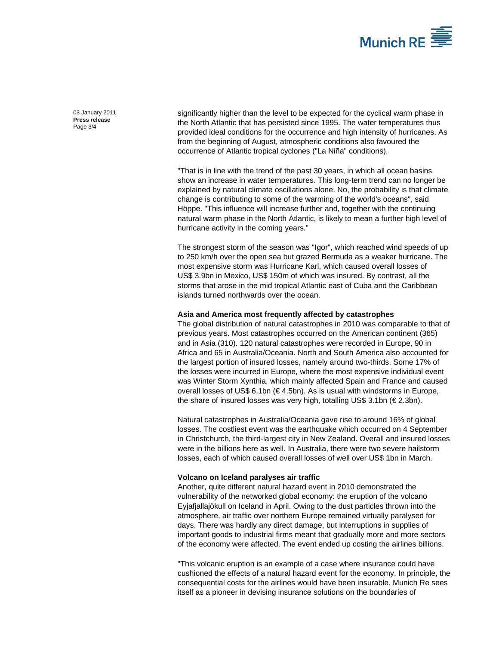

03 January 2011 **Press release**  Page 3/4

significantly higher than the level to be expected for the cyclical warm phase in the North Atlantic that has persisted since 1995. The water temperatures thus provided ideal conditions for the occurrence and high intensity of hurricanes. As from the beginning of August, atmospheric conditions also favoured the occurrence of Atlantic tropical cyclones ("La Niña" conditions).

"That is in line with the trend of the past 30 years, in which all ocean basins show an increase in water temperatures. This long-term trend can no longer be explained by natural climate oscillations alone. No, the probability is that climate change is contributing to some of the warming of the world's oceans", said Höppe. "This influence will increase further and, together with the continuing natural warm phase in the North Atlantic, is likely to mean a further high level of hurricane activity in the coming years."

The strongest storm of the season was "Igor", which reached wind speeds of up to 250 km/h over the open sea but grazed Bermuda as a weaker hurricane. The most expensive storm was Hurricane Karl, which caused overall losses of US\$ 3.9bn in Mexico, US\$ 150m of which was insured. By contrast, all the storms that arose in the mid tropical Atlantic east of Cuba and the Caribbean islands turned northwards over the ocean.

# **Asia and America most frequently affected by catastrophes**

The global distribution of natural catastrophes in 2010 was comparable to that of previous years. Most catastrophes occurred on the American continent (365) and in Asia (310). 120 natural catastrophes were recorded in Europe, 90 in Africa and 65 in Australia/Oceania. North and South America also accounted for the largest portion of insured losses, namely around two-thirds. Some 17% of the losses were incurred in Europe, where the most expensive individual event was Winter Storm Xynthia, which mainly affected Spain and France and caused overall losses of US\$ 6.1bn (€ 4.5bn). As is usual with windstorms in Europe, the share of insured losses was very high, totalling US\$ 3.1bn (€ 2.3bn).

Natural catastrophes in Australia/Oceania gave rise to around 16% of global losses. The costliest event was the earthquake which occurred on 4 September in Christchurch, the third-largest city in New Zealand. Overall and insured losses were in the billions here as well. In Australia, there were two severe hailstorm losses, each of which caused overall losses of well over US\$ 1bn in March.

### **Volcano on Iceland paralyses air traffic**

Another, quite different natural hazard event in 2010 demonstrated the vulnerability of the networked global economy: the eruption of the volcano Eyjafjallajökull on Iceland in April. Owing to the dust particles thrown into the atmosphere, air traffic over northern Europe remained virtually paralysed for days. There was hardly any direct damage, but interruptions in supplies of important goods to industrial firms meant that gradually more and more sectors of the economy were affected. The event ended up costing the airlines billions.

"This volcanic eruption is an example of a case where insurance could have cushioned the effects of a natural hazard event for the economy. In principle, the consequential costs for the airlines would have been insurable. Munich Re sees itself as a pioneer in devising insurance solutions on the boundaries of